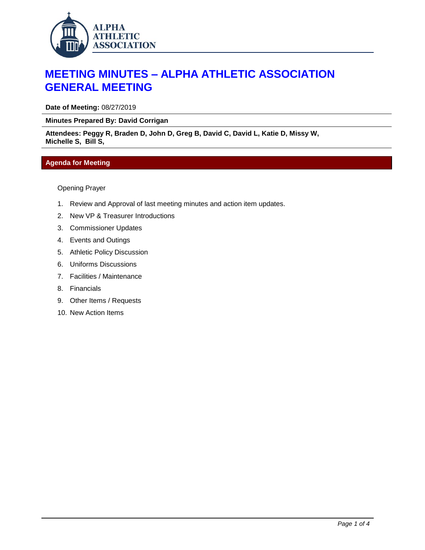

## **MEETING MINUTES – ALPHA ATHLETIC ASSOCIATION GENERAL MEETING**

**Date of Meeting:** 08/27/2019

**Minutes Prepared By: David Corrigan**

**Attendees: Peggy R, Braden D, John D, Greg B, David C, David L, Katie D, Missy W, Michelle S, Bill S,** 

## **Agenda for Meeting**

Opening Prayer

- 1. Review and Approval of last meeting minutes and action item updates.
- 2. New VP & Treasurer Introductions
- 3. Commissioner Updates
- 4. Events and Outings
- 5. Athletic Policy Discussion
- 6. Uniforms Discussions
- 7. Facilities / Maintenance
- 8. Financials
- 9. Other Items / Requests
- 10. New Action Items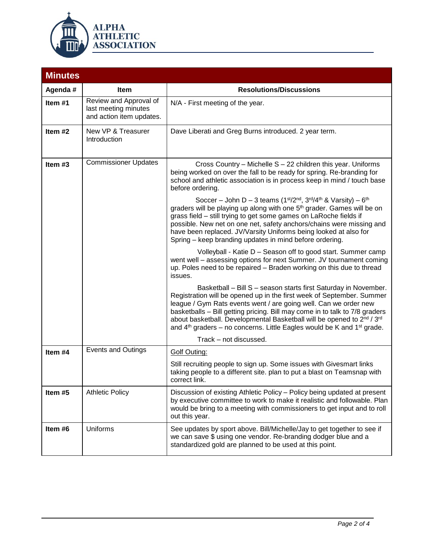

| <b>Minutes</b>                                               |                                                                            |                                                                                                                                                                                                                                                                                                                                                                                                                                                                                                                                                                                                                                                                                                         |  |  |  |
|--------------------------------------------------------------|----------------------------------------------------------------------------|---------------------------------------------------------------------------------------------------------------------------------------------------------------------------------------------------------------------------------------------------------------------------------------------------------------------------------------------------------------------------------------------------------------------------------------------------------------------------------------------------------------------------------------------------------------------------------------------------------------------------------------------------------------------------------------------------------|--|--|--|
| Agenda #                                                     | Item                                                                       | <b>Resolutions/Discussions</b>                                                                                                                                                                                                                                                                                                                                                                                                                                                                                                                                                                                                                                                                          |  |  |  |
| Item #1                                                      | Review and Approval of<br>last meeting minutes<br>and action item updates. | N/A - First meeting of the year.                                                                                                                                                                                                                                                                                                                                                                                                                                                                                                                                                                                                                                                                        |  |  |  |
| Item #2                                                      | New VP & Treasurer<br>Introduction                                         | Dave Liberati and Greg Burns introduced. 2 year term.                                                                                                                                                                                                                                                                                                                                                                                                                                                                                                                                                                                                                                                   |  |  |  |
| <b>Commissioner Updates</b><br>Item $#3$<br>before ordering. |                                                                            | Cross Country - Michelle S - 22 children this year. Uniforms<br>being worked on over the fall to be ready for spring. Re-branding for<br>school and athletic association is in process keep in mind / touch base<br>Soccer – John D – 3 teams ( $1st/2nd$ , $3rd/4th$ & Varsity) – $6th$<br>graders will be playing up along with one 5 <sup>th</sup> grader. Games will be on<br>grass field - still trying to get some games on LaRoche fields if<br>possible. New net on one net, safety anchors/chains were missing and<br>have been replaced. JV/Varsity Uniforms being looked at also for<br>Spring - keep branding updates in mind before ordering.                                              |  |  |  |
|                                                              |                                                                            | Volleyball - Katie D - Season off to good start. Summer camp<br>went well - assessing options for next Summer. JV tournament coming<br>up. Poles need to be repaired - Braden working on this due to thread<br>issues.<br>Basketball - Bill S - season starts first Saturday in November.<br>Registration will be opened up in the first week of September. Summer<br>league / Gym Rats events went / are going well. Can we order new<br>basketballs - Bill getting pricing. Bill may come in to talk to 7/8 graders<br>about basketball. Developmental Basketball will be opened to 2nd / 3rd<br>and $4th$ graders – no concerns. Little Eagles would be K and $1st$ grade.<br>Track - not discussed. |  |  |  |
| Item #4                                                      | <b>Events and Outings</b>                                                  | <b>Golf Outing:</b><br>Still recruiting people to sign up. Some issues with Givesmart links<br>taking people to a different site. plan to put a blast on Teamsnap with<br>correct link                                                                                                                                                                                                                                                                                                                                                                                                                                                                                                                  |  |  |  |
| Item #5                                                      | <b>Athletic Policy</b>                                                     | Discussion of existing Athletic Policy - Policy being updated at present<br>by executive committee to work to make it realistic and followable. Plan<br>would be bring to a meeting with commissioners to get input and to roll<br>out this year.                                                                                                                                                                                                                                                                                                                                                                                                                                                       |  |  |  |
| Item #6                                                      | Uniforms                                                                   | See updates by sport above. Bill/Michelle/Jay to get together to see if<br>we can save \$ using one vendor. Re-branding dodger blue and a<br>standardized gold are planned to be used at this point.                                                                                                                                                                                                                                                                                                                                                                                                                                                                                                    |  |  |  |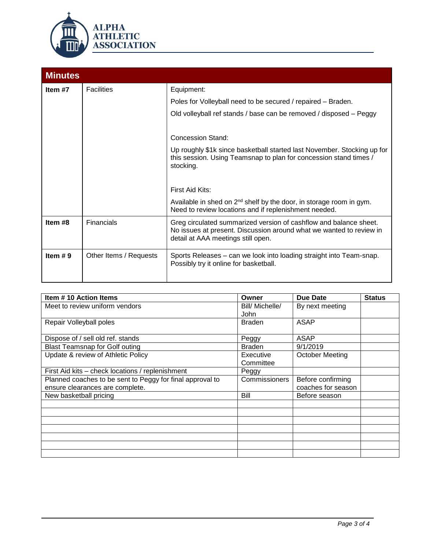

| <b>Minutes</b> |                        |                                                                                                                                                                                       |  |  |  |
|----------------|------------------------|---------------------------------------------------------------------------------------------------------------------------------------------------------------------------------------|--|--|--|
| Item #7        | <b>Facilities</b>      | Equipment:<br>Poles for Volleyball need to be secured / repaired - Braden.<br>Old volleyball ref stands / base can be removed / disposed - Peggy                                      |  |  |  |
|                |                        | <b>Concession Stand:</b><br>Up roughly \$1k since basketball started last November. Stocking up for<br>this session. Using Teamsnap to plan for concession stand times /<br>stocking. |  |  |  |
|                |                        | First Aid Kits:<br>Available in shed on $2^{nd}$ shelf by the door, in storage room in gym.<br>Need to review locations and if replenishment needed.                                  |  |  |  |
| Item #8        | Financials             | Greg circulated summarized version of cashflow and balance sheet.<br>No issues at present. Discussion around what we wanted to review in<br>detail at AAA meetings still open.        |  |  |  |
| Item $# 9$     | Other Items / Requests | Sports Releases – can we look into loading straight into Team-snap.<br>Possibly try it online for basketball.                                                                         |  |  |  |

| Item #10 Action Items                                     | Owner           | Due Date               | <b>Status</b> |
|-----------------------------------------------------------|-----------------|------------------------|---------------|
| Meet to review uniform vendors                            | Bill/ Michelle/ | By next meeting        |               |
|                                                           | <b>John</b>     |                        |               |
| Repair Volleyball poles                                   | <b>Braden</b>   | <b>ASAP</b>            |               |
|                                                           |                 |                        |               |
| Dispose of / sell old ref. stands                         | Peggy           | ASAP                   |               |
| <b>Blast Teamsnap for Golf outing</b>                     | <b>Braden</b>   | 9/1/2019               |               |
| Update & review of Athletic Policy                        | Executive       | <b>October Meeting</b> |               |
|                                                           | Committee       |                        |               |
| First Aid kits – check locations / replenishment          | Peggy           |                        |               |
| Planned coaches to be sent to Peggy for final approval to | Commissioners   | Before confirming      |               |
| ensure clearances are complete.                           |                 | coaches for season     |               |
| New basketball pricing                                    | Bill            | Before season          |               |
|                                                           |                 |                        |               |
|                                                           |                 |                        |               |
|                                                           |                 |                        |               |
|                                                           |                 |                        |               |
|                                                           |                 |                        |               |
|                                                           |                 |                        |               |
|                                                           |                 |                        |               |